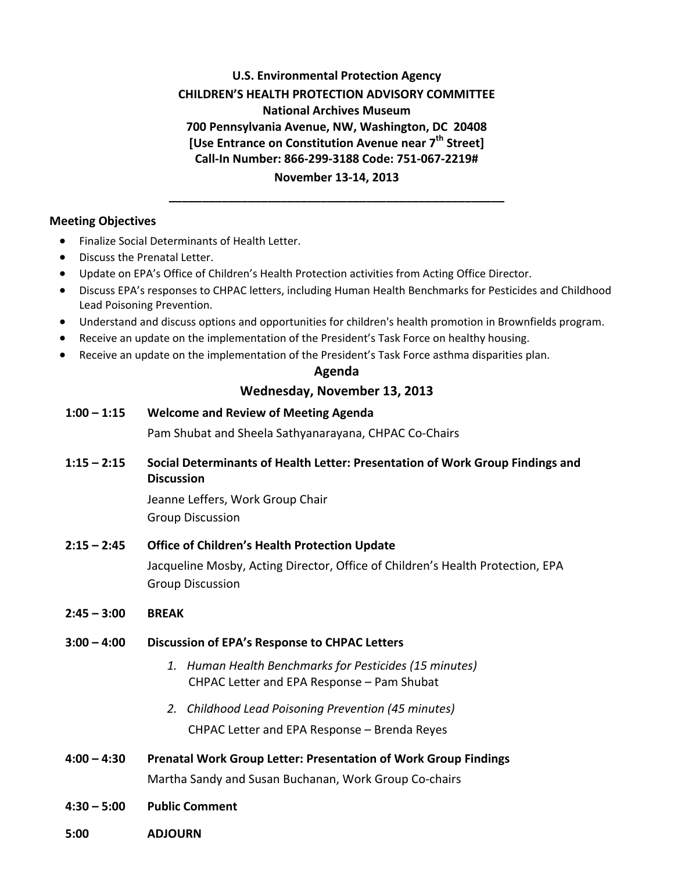# **U.S. Environmental Protection Agency CHILDREN'S HEALTH PROTECTION ADVISORY COMMITTEE National Archives Museum 700 Pennsylvania Avenue, NW, Washington, DC 20408 [Use Entrance on Constitution Avenue near 7th Street] Call‐In Number: 866‐299‐3188 Code: 751‐067‐2219# November 13‐14, 2013**

**\_\_\_\_\_\_\_\_\_\_\_\_\_\_\_\_\_\_\_\_\_\_\_\_\_\_\_\_\_\_\_\_\_\_\_\_\_\_\_\_\_\_\_\_\_\_\_\_\_\_\_**

#### **Meeting Objectives**

- Finalize Social Determinants of Health Letter.
- Discuss the Prenatal Letter.
- Update on EPA's Office of Children's Health Protection activities from Acting Office Director.
- Discuss EPA's responses to CHPAC letters, including Human Health Benchmarks for Pesticides and Childhood Lead Poisoning Prevention.
- Understand and discuss options and opportunities for children's health promotion in Brownfields program.
- Receive an update on the implementation of the President's Task Force on healthy housing.
- Receive an update on the implementation of the President's Task Force asthma disparities plan.

#### **Agenda**

# **Wednesday, November 13, 2013**

 **1:00 – 1:15 Welcome and Review of Meeting Agenda**

Pam Shubat and Sheela Sathyanarayana, CHPAC Co‐Chairs

1:15 - 2:15 Social Determinants of Health Letter: Presentation of Work Group Findings and **Discussion**

> Jeanne Leffers, Work Group Chair Group Discussion

 **2:15 – 2:45 Office of Children's Health Protection Update**

 Jacqueline Mosby, Acting Director, Office of Children's Health Protection, EPA Group Discussion

 **2:45 – 3:00 BREAK**

### **3:00 – 4:00 Discussion of EPA's Response to CHPAC Letters**

- *1. Human Health Benchmarks for Pesticides (15 minutes)* CHPAC Letter and EPA Response – Pam Shubat
- *2. Childhood Lead Poisoning Prevention (45 minutes)* CHPAC Letter and EPA Response – Brenda Reyes
- **4:00 – 4:30 Prenatal Work Group Letter: Presentation of Work Group Findings**  Martha Sandy and Susan Buchanan, Work Group Co‐chairs
- **4:30 – 5:00 Public Comment**
- **5:00 ADJOURN**